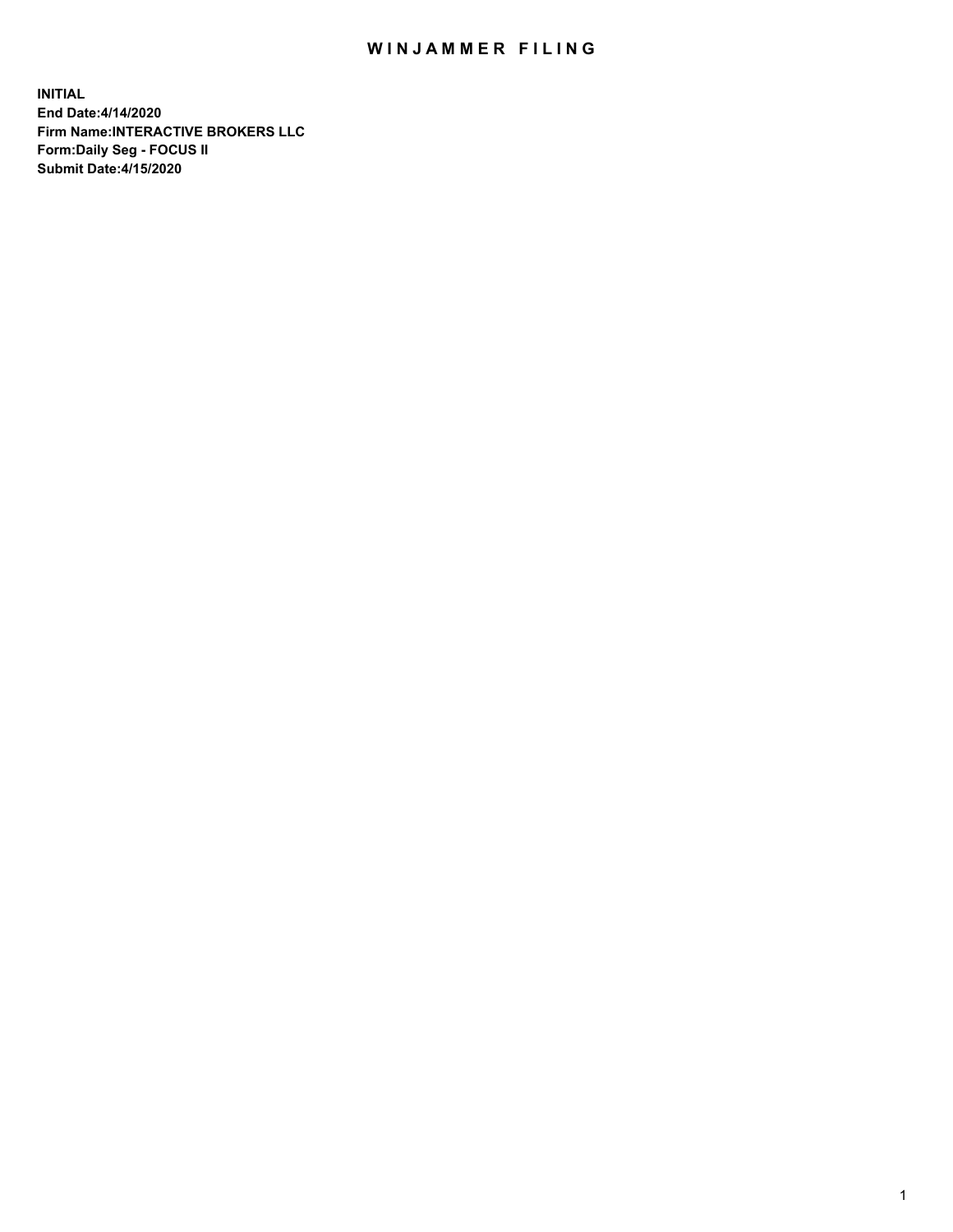## WIN JAMMER FILING

**INITIAL End Date:4/14/2020 Firm Name:INTERACTIVE BROKERS LLC Form:Daily Seg - FOCUS II Submit Date:4/15/2020**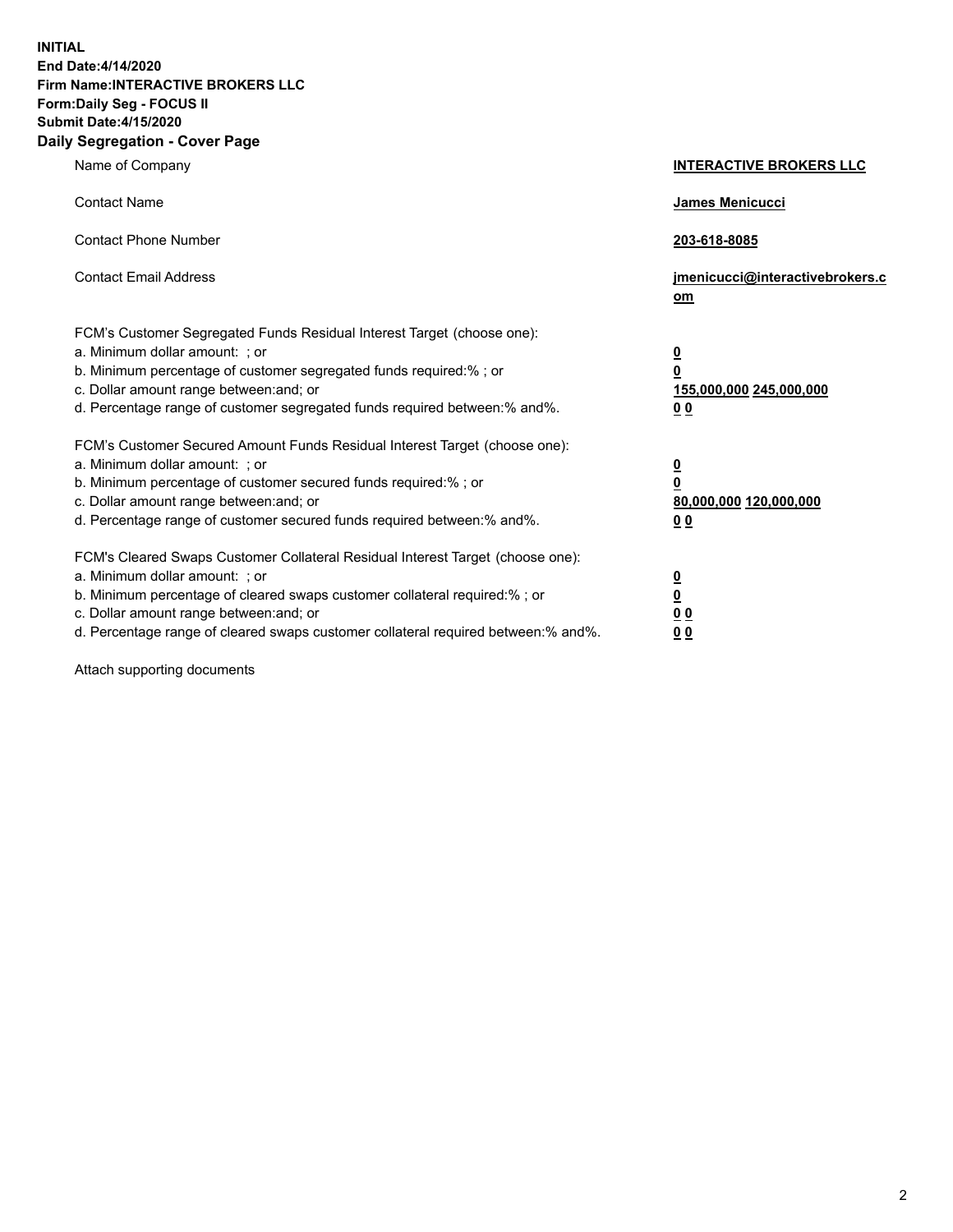**INITIAL End Date:4/14/2020 Firm Name:INTERACTIVE BROKERS LLC Form:Daily Seg - FOCUS II Submit Date:4/15/2020 Daily Segregation - Cover Page**

| Name of Company                                                                                                                                                                                                                                                                                                                | <b>INTERACTIVE BROKERS LLC</b>                                                                  |  |
|--------------------------------------------------------------------------------------------------------------------------------------------------------------------------------------------------------------------------------------------------------------------------------------------------------------------------------|-------------------------------------------------------------------------------------------------|--|
| <b>Contact Name</b>                                                                                                                                                                                                                                                                                                            | <b>James Menicucci</b>                                                                          |  |
| <b>Contact Phone Number</b>                                                                                                                                                                                                                                                                                                    | 203-618-8085                                                                                    |  |
| <b>Contact Email Address</b>                                                                                                                                                                                                                                                                                                   | jmenicucci@interactivebrokers.c<br><u>om</u>                                                    |  |
| FCM's Customer Segregated Funds Residual Interest Target (choose one):<br>a. Minimum dollar amount: ; or<br>b. Minimum percentage of customer segregated funds required:%; or<br>c. Dollar amount range between: and; or<br>d. Percentage range of customer segregated funds required between:% and%.                          | $\overline{\mathbf{0}}$<br>$\overline{\mathbf{0}}$<br>155,000,000 245,000,000<br>0 <sub>0</sub> |  |
| FCM's Customer Secured Amount Funds Residual Interest Target (choose one):<br>a. Minimum dollar amount: ; or<br>b. Minimum percentage of customer secured funds required:%; or<br>c. Dollar amount range between: and; or<br>d. Percentage range of customer secured funds required between:% and%.                            | $\overline{\mathbf{0}}$<br>$\overline{\mathbf{0}}$<br>80,000,000 120,000,000<br>0 <sub>0</sub>  |  |
| FCM's Cleared Swaps Customer Collateral Residual Interest Target (choose one):<br>a. Minimum dollar amount: ; or<br>b. Minimum percentage of cleared swaps customer collateral required:% ; or<br>c. Dollar amount range between: and; or<br>d. Percentage range of cleared swaps customer collateral required between:% and%. | $\overline{\mathbf{0}}$<br>$\underline{\mathbf{0}}$<br>$\underline{0}$ $\underline{0}$<br>00    |  |

Attach supporting documents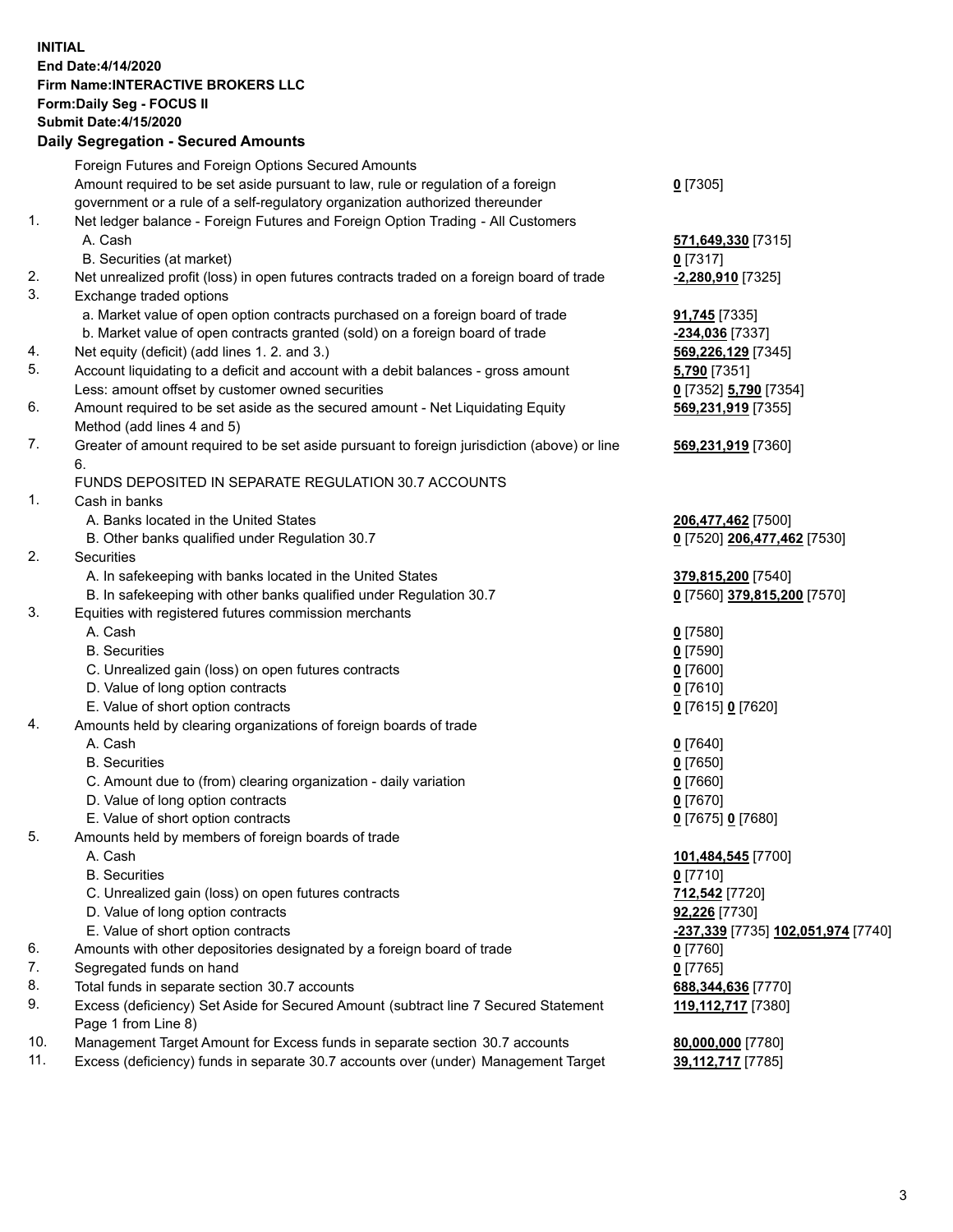**INITIAL End Date:4/14/2020 Firm Name:INTERACTIVE BROKERS LLC Form:Daily Seg - FOCUS II Submit Date:4/15/2020 Daily Segregation - Secured Amounts**

## Foreign Futures and Foreign Options Secured Amounts Amount required to be set aside pursuant to law, rule or regulation of a foreign government or a rule of a self-regulatory organization authorized thereunder **0** [7305] 1. Net ledger balance - Foreign Futures and Foreign Option Trading - All Customers A. Cash **571,649,330** [7315] B. Securities (at market) **0** [7317] 2. Net unrealized profit (loss) in open futures contracts traded on a foreign board of trade **-2,280,910** [7325] 3. Exchange traded options a. Market value of open option contracts purchased on a foreign board of trade **91,745** [7335] b. Market value of open contracts granted (sold) on a foreign board of trade **-234,036** [7337] 4. Net equity (deficit) (add lines 1. 2. and 3.) **569,226,129** [7345] 5. Account liquidating to a deficit and account with a debit balances - gross amount **5,790** [7351] Less: amount offset by customer owned securities **0** [7352] **5,790** [7354] 6. Amount required to be set aside as the secured amount - Net Liquidating Equity Method (add lines 4 and 5) **569,231,919** [7355] 7. Greater of amount required to be set aside pursuant to foreign jurisdiction (above) or line 6. **569,231,919** [7360] FUNDS DEPOSITED IN SEPARATE REGULATION 30.7 ACCOUNTS 1. Cash in banks A. Banks located in the United States **206,477,462** [7500] B. Other banks qualified under Regulation 30.7 **0** [7520] **206,477,462** [7530] 2. Securities A. In safekeeping with banks located in the United States **379,815,200** [7540] B. In safekeeping with other banks qualified under Regulation 30.7 **0** [7560] **379,815,200** [7570] 3. Equities with registered futures commission merchants A. Cash **0** [7580] B. Securities **0** [7590] C. Unrealized gain (loss) on open futures contracts **0** [7600] D. Value of long option contracts **0** [7610] E. Value of short option contracts **0** [7615] **0** [7620] 4. Amounts held by clearing organizations of foreign boards of trade A. Cash **0** [7640] B. Securities **0** [7650] C. Amount due to (from) clearing organization - daily variation **0** [7660] D. Value of long option contracts **0** [7670] E. Value of short option contracts **0** [7675] **0** [7680] 5. Amounts held by members of foreign boards of trade A. Cash **101,484,545** [7700] B. Securities **0** [7710] C. Unrealized gain (loss) on open futures contracts **712,542** [7720] D. Value of long option contracts **92,226** [7730] E. Value of short option contracts **-237,339** [7735] **102,051,974** [7740] 6. Amounts with other depositories designated by a foreign board of trade **0** [7760] 7. Segregated funds on hand **0** [7765] 8. Total funds in separate section 30.7 accounts **688,344,636** [7770] 9. Excess (deficiency) Set Aside for Secured Amount (subtract line 7 Secured Statement Page 1 from Line 8) **119,112,717** [7380] 10. Management Target Amount for Excess funds in separate section 30.7 accounts **80,000,000** [7780] 11. Excess (deficiency) funds in separate 30.7 accounts over (under) Management Target **39,112,717** [7785]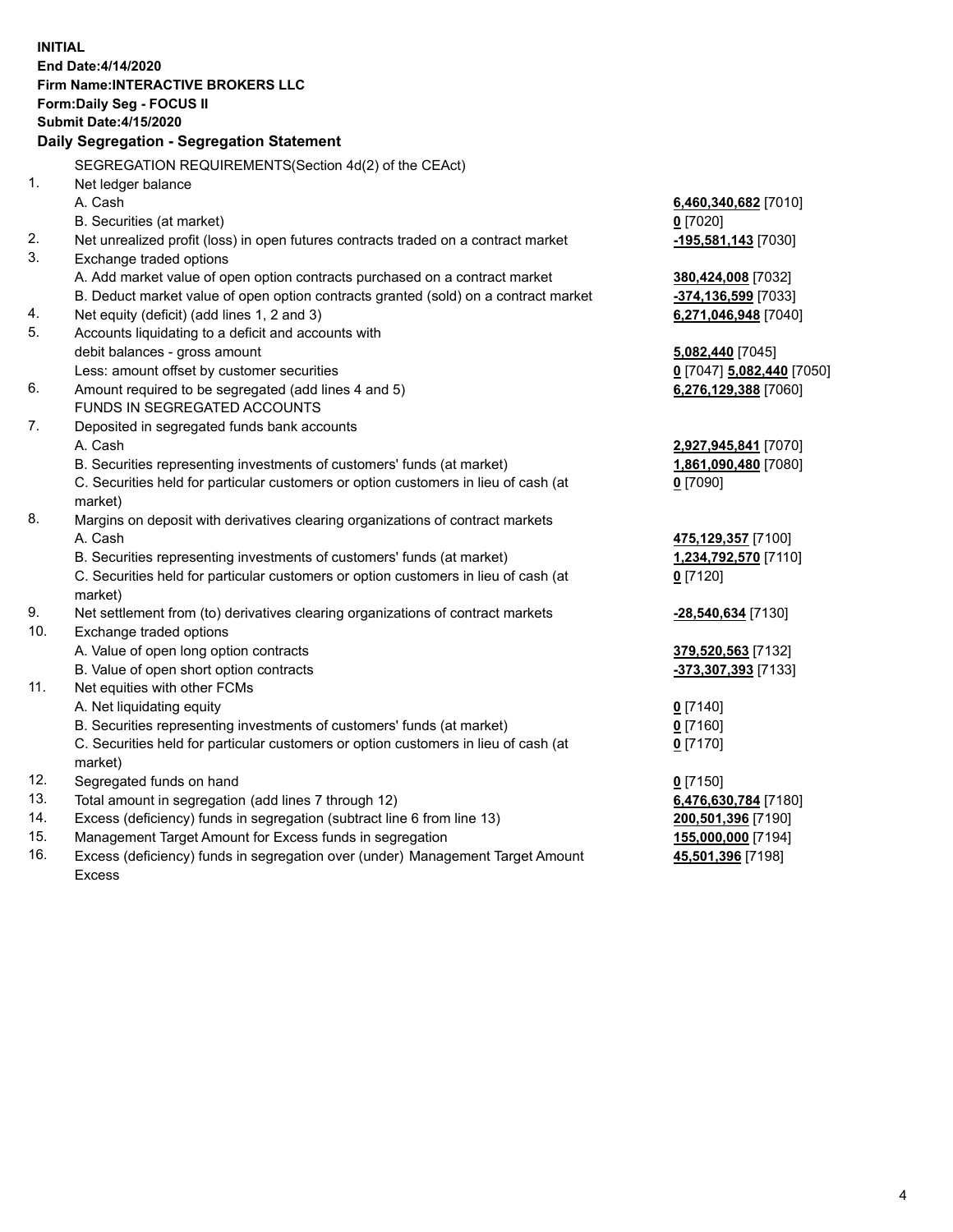**INITIAL End Date:4/14/2020 Firm Name:INTERACTIVE BROKERS LLC Form:Daily Seg - FOCUS II Submit Date:4/15/2020 Daily Segregation - Segregation Statement** SEGREGATION REQUIREMENTS(Section 4d(2) of the CEAct) 1. Net ledger balance A. Cash **6,460,340,682** [7010] B. Securities (at market) **0** [7020] 2. Net unrealized profit (loss) in open futures contracts traded on a contract market **-195,581,143** [7030] 3. Exchange traded options A. Add market value of open option contracts purchased on a contract market **380,424,008** [7032] B. Deduct market value of open option contracts granted (sold) on a contract market **-374,136,599** [7033] 4. Net equity (deficit) (add lines 1, 2 and 3) **6,271,046,948** [7040] 5. Accounts liquidating to a deficit and accounts with debit balances - gross amount **5,082,440** [7045] Less: amount offset by customer securities **0** [7047] **5,082,440** [7050] 6. Amount required to be segregated (add lines 4 and 5) **6,276,129,388** [7060] FUNDS IN SEGREGATED ACCOUNTS 7. Deposited in segregated funds bank accounts A. Cash **2,927,945,841** [7070] B. Securities representing investments of customers' funds (at market) **1,861,090,480** [7080] C. Securities held for particular customers or option customers in lieu of cash (at market) **0** [7090] 8. Margins on deposit with derivatives clearing organizations of contract markets A. Cash **475,129,357** [7100] B. Securities representing investments of customers' funds (at market) **1,234,792,570** [7110] C. Securities held for particular customers or option customers in lieu of cash (at market) **0** [7120] 9. Net settlement from (to) derivatives clearing organizations of contract markets **-28,540,634** [7130] 10. Exchange traded options A. Value of open long option contracts **379,520,563** [7132] B. Value of open short option contracts **-373,307,393** [7133] 11. Net equities with other FCMs A. Net liquidating equity **0** [7140] B. Securities representing investments of customers' funds (at market) **0** [7160] C. Securities held for particular customers or option customers in lieu of cash (at market) **0** [7170] 12. Segregated funds on hand **0** [7150] 13. Total amount in segregation (add lines 7 through 12) **6,476,630,784** [7180] 14. Excess (deficiency) funds in segregation (subtract line 6 from line 13) **200,501,396** [7190] 15. Management Target Amount for Excess funds in segregation **155,000,000** [7194] **45,501,396** [7198]

16. Excess (deficiency) funds in segregation over (under) Management Target Amount Excess